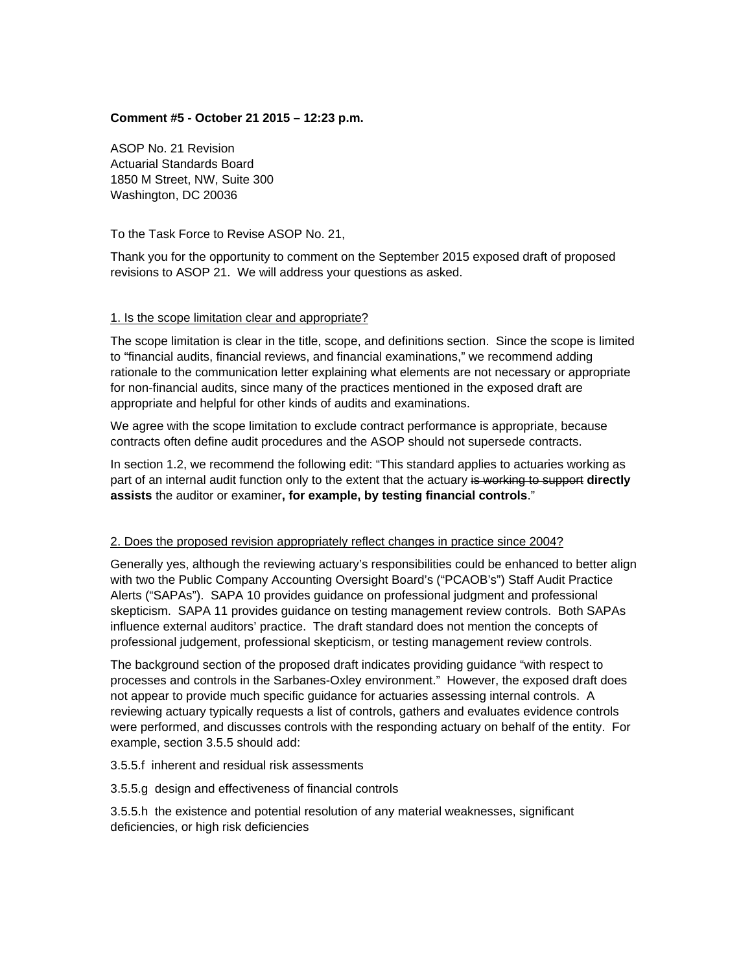### **Comment #5 - October 21 2015 – 12:23 p.m.**

ASOP No. 21 Revision Actuarial Standards Board 1850 M Street, NW, Suite 300 Washington, DC 20036

To the Task Force to Revise ASOP No. 21,

Thank you for the opportunity to comment on the September 2015 exposed draft of proposed revisions to ASOP 21. We will address your questions as asked.

#### 1. Is the scope limitation clear and appropriate?

The scope limitation is clear in the title, scope, and definitions section. Since the scope is limited to "financial audits, financial reviews, and financial examinations," we recommend adding rationale to the communication letter explaining what elements are not necessary or appropriate for non-financial audits, since many of the practices mentioned in the exposed draft are appropriate and helpful for other kinds of audits and examinations.

We agree with the scope limitation to exclude contract performance is appropriate, because contracts often define audit procedures and the ASOP should not supersede contracts.

In section 1.2, we recommend the following edit: "This standard applies to actuaries working as part of an internal audit function only to the extent that the actuary is working to support **directly assists** the auditor or examiner**, for example, by testing financial controls**."

#### 2. Does the proposed revision appropriately reflect changes in practice since 2004?

Generally yes, although the reviewing actuary's responsibilities could be enhanced to better align with two the Public Company Accounting Oversight Board's ("PCAOB's") Staff Audit Practice Alerts ("SAPAs"). SAPA 10 provides guidance on professional judgment and professional skepticism. SAPA 11 provides guidance on testing management review controls. Both SAPAs influence external auditors' practice. The draft standard does not mention the concepts of professional judgement, professional skepticism, or testing management review controls.

The background section of the proposed draft indicates providing guidance "with respect to processes and controls in the Sarbanes-Oxley environment." However, the exposed draft does not appear to provide much specific guidance for actuaries assessing internal controls. A reviewing actuary typically requests a list of controls, gathers and evaluates evidence controls were performed, and discusses controls with the responding actuary on behalf of the entity. For example, section 3.5.5 should add:

3.5.5.f inherent and residual risk assessments

3.5.5.g design and effectiveness of financial controls

3.5.5.h the existence and potential resolution of any material weaknesses, significant deficiencies, or high risk deficiencies